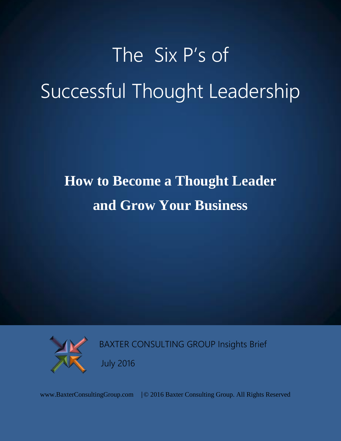# The Six P's of Successful Thought Leadership

## **How to Become a Thought Leader and Grow Your Business**



BAXTER CONSULTING GROUP Insights Brief

July 2016

www.BaxterConsultingGroup.com | © 2016 Baxter Consulting Group. All Rights Reserved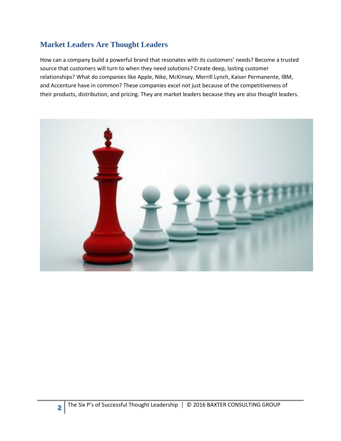#### **Market Leaders Are Thought Leaders**

How can a company build a powerful brand that resonates with its customers' needs? Become a trusted source that customers will turn to when they need solutions? Create deep, lasting customer relationships? What do companies like Apple, Nike, McKinsey, Merrill Lynch, Kaiser Permanente, IBM, and Accenture have in common? These companies excel not just because of the competitiveness of their products, distribution, and pricing. They are market leaders because they are also thought leaders.

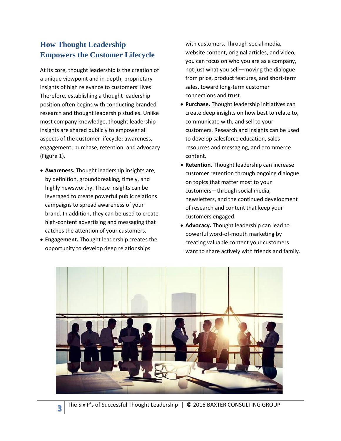### **How Thought Leadership Empowers the Customer Lifecycle**

At its core, thought leadership is the creation of a unique viewpoint and in-depth, proprietary insights of high relevance to customers' lives. Therefore, establishing a thought leadership position often begins with conducting branded research and thought leadership studies. Unlike most company knowledge, thought leadership insights are shared publicly to empower all aspects of the customer lifecycle: awareness, engagement, purchase, retention, and advocacy (Figure 1).

- **Awareness.** Thought leadership insights are, by definition, groundbreaking, timely, and highly newsworthy. These insights can be leveraged to create powerful public relations campaigns to spread awareness of your brand. In addition, they can be used to create high-content advertising and messaging that catches the attention of your customers.
- **Engagement.** Thought leadership creates the opportunity to develop deep relationships

with customers. Through social media, website content, original articles, and video, you can focus on who you are as a company, not just what you sell—moving the dialogue from price, product features, and short-term sales, toward long-term customer connections and trust.

- **Purchase.** Thought leadership initiatives can create deep insights on how best to relate to, communicate with, and sell to your customers. Research and insights can be used to develop salesforce education, sales resources and messaging, and ecommerce content.
- **Retention.** Thought leadership can increase customer retention through ongoing dialogue on topics that matter most to your customers—through social media, newsletters, and the continued development of research and content that keep your customers engaged.
- **Advocacy.** Thought leadership can lead to powerful word-of-mouth marketing by creating valuable content your customers want to share actively with friends and family.

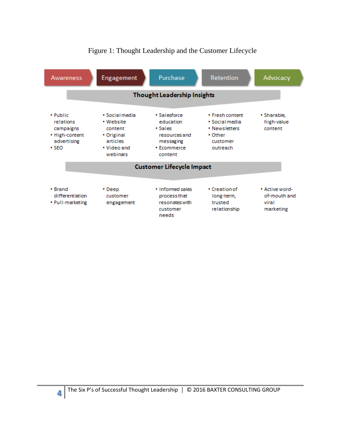

#### Figure 1: Thought Leadership and the Customer Lifecycle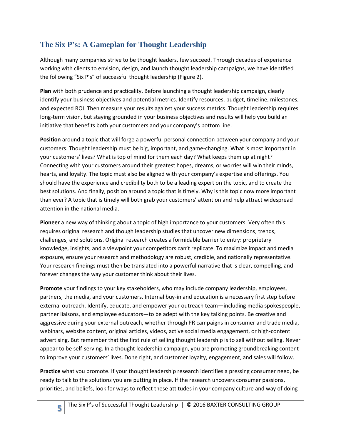### **The Six P's: A Gameplan for Thought Leadership**

Although many companies strive to be thought leaders, few succeed. Through decades of experience working with clients to envision, design, and launch thought leadership campaigns, we have identified the following "Six P's" of successful thought leadership (Figure 2).

**Plan** with both prudence and practicality. Before launching a thought leadership campaign, clearly identify your business objectives and potential metrics. Identify resources, budget, timeline, milestones, and expected ROI. Then measure your results against your success metrics. Thought leadership requires long-term vision, but staying grounded in your business objectives and results will help you build an initiative that benefits both your customers and your company's bottom line.

**Position** around a topic that will forge a powerful personal connection between your company and your customers. Thought leadership must be big, important, and game-changing. What is most important in your customers' lives? What is top of mind for them each day? What keeps them up at night? Connecting with your customers around their greatest hopes, dreams, or worries will win their minds, hearts, and loyalty. The topic must also be aligned with your company's expertise and offerings. You should have the experience and credibility both to be a leading expert on the topic, and to create the best solutions. And finally, position around a topic that is timely. Why is this topic now more important than ever? A topic that is timely will both grab your customers' attention and help attract widespread attention in the national media.

**Pioneer** a new way of thinking about a topic of high importance to your customers. Very often this requires original research and though leadership studies that uncover new dimensions, trends, challenges, and solutions. Original research creates a formidable barrier to entry: proprietary knowledge, insights, and a viewpoint your competitors can't replicate. To maximize impact and media exposure, ensure your research and methodology are robust, credible, and nationally representative. Your research findings must then be translated into a powerful narrative that is clear, compelling, and forever changes the way your customer think about their lives.

**Promote** your findings to your key stakeholders, who may include company leadership, employees, partners, the media, and your customers. Internal buy-in and education is a necessary first step before external outreach. Identify, educate, and empower your outreach team—including media spokespeople, partner liaisons, and employee educators—to be adept with the key talking points. Be creative and aggressive during your external outreach, whether through PR campaigns in consumer and trade media, webinars, website content, original articles, videos, active social media engagement, or high-content advertising. But remember that the first rule of selling thought leadership is to sell without selling. Never appear to be self-serving. In a thought leadership campaign, you are promoting groundbreaking content to improve your customers' lives. Done right, and customer loyalty, engagement, and sales will follow.

**Practice** what you promote. If your thought leadership research identifies a pressing consumer need, be ready to talk to the solutions you are putting in place. If the research uncovers consumer passions, priorities, and beliefs, look for ways to reflect these attitudes in your company culture and way of doing